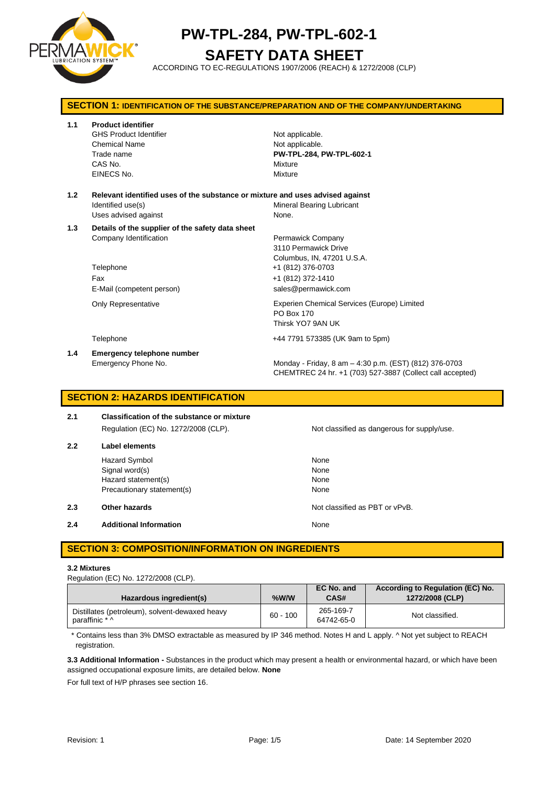

**SAFETY DATA SHEET** ACCORDING TO EC-REGULATIONS 1907/2006 (REACH) & 1272/2008 (CLP)

| <b>SECTION 1: IDENTIFICATION OF THE SUBSTANCE/PREPARATION AND OF THE COMPANY/UNDERTAKING</b> |                                                                                                                             |                                                                                                                                          |  |  |
|----------------------------------------------------------------------------------------------|-----------------------------------------------------------------------------------------------------------------------------|------------------------------------------------------------------------------------------------------------------------------------------|--|--|
| 1.1                                                                                          | <b>Product identifier</b><br><b>GHS Product Identifier</b><br><b>Chemical Name</b><br>Trade name<br>CAS No.<br>EINECS No.   | Not applicable.<br>Not applicable.<br>PW-TPL-284, PW-TPL-602-1<br>Mixture<br>Mixture                                                     |  |  |
| 1.2                                                                                          | Relevant identified uses of the substance or mixture and uses advised against<br>Identified use(s)<br>Uses advised against  | <b>Mineral Bearing Lubricant</b><br>None.                                                                                                |  |  |
| 1.3                                                                                          | Details of the supplier of the safety data sheet<br>Company Identification<br>Telephone<br>Fax<br>E-Mail (competent person) | Permawick Company<br>3110 Permawick Drive<br>Columbus, IN, 47201 U.S.A.<br>+1 (812) 376-0703<br>+1 (812) 372-1410<br>sales@permawick.com |  |  |
|                                                                                              | <b>Only Representative</b>                                                                                                  | Experien Chemical Services (Europe) Limited<br>PO Box 170<br>Thirsk YO7 9AN UK                                                           |  |  |
|                                                                                              | Telephone                                                                                                                   | +44 7791 573385 (UK 9am to 5pm)                                                                                                          |  |  |
| 1.4                                                                                          | Emergency telephone number<br>Emergency Phone No.                                                                           | Monday - Friday, 8 am - 4:30 p.m. (EST) (812) 376-0703<br>CHEMTREC 24 hr. +1 (703) 527-3887 (Collect call accepted)                      |  |  |

### **SECTION 2: HAZARDS IDENTIFICATION**

| 2.1 | <b>Classification of the substance or mixture</b> |
|-----|---------------------------------------------------|
|     | Regulation (EC) No. 1272/2008 (CLP).              |
| 2.2 | Label elements                                    |

Hazard Symbol None Signal word(s) None Hazard statement(s) None Precautionary statement(s) None

**2.3 Other hazards Details According to the COVID-100 Motion COVID-100 Motion COVID-100 Motion COVID-100 Motion COVID-100 Motion COVID-100 Motion COVID-100 Motion COVID-100 Motion COVID-100 Motion COVID-100 Motion COVI** 

**2.4 Additional Information None** 

#### **SECTION 3: COMPOSITION/INFORMATION ON INGREDIENTS**

#### **3.2 Mixtures**

Regulation (EC) No. 1272/2008 (CLP).

| Hazardous ingredient(s)                                          | %W/W       | EC No. and<br>CAS#      | According to Regulation (EC) No.<br>1272/2008 (CLP) |
|------------------------------------------------------------------|------------|-------------------------|-----------------------------------------------------|
| Distillates (petroleum), solvent-dewaxed heavy<br>paraffinic * ^ | $60 - 100$ | 265-169-7<br>64742-65-0 | Not classified.                                     |

\* Contains less than 3% DMSO extractable as measured by IP 346 method. Notes H and L apply. ^ Not yet subject to REACH registration.

**3.3 Additional Information -** Substances in the product which may present a health or environmental hazard, or which have been assigned occupational exposure limits, are detailed below. **None**

For full text of H/P phrases see section 16.

Not classified as dangerous for supply/use.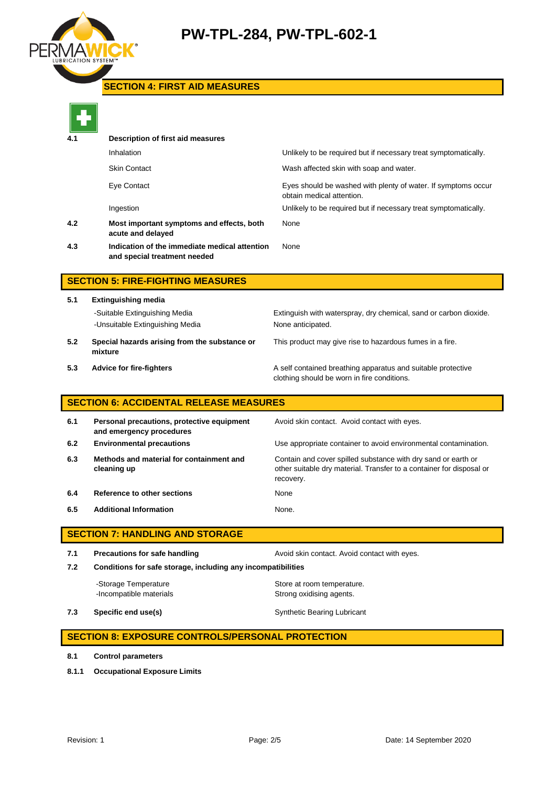

#### **SECTION 4: FIRST AID MEASURES**



| 4.1 | Description of first aid measures                                             |                                                                                            |  |  |
|-----|-------------------------------------------------------------------------------|--------------------------------------------------------------------------------------------|--|--|
|     | Inhalation                                                                    | Unlikely to be required but if necessary treat symptomatically.                            |  |  |
|     | <b>Skin Contact</b>                                                           | Wash affected skin with soap and water.                                                    |  |  |
|     | Eye Contact                                                                   | Eyes should be washed with plenty of water. If symptoms occur<br>obtain medical attention. |  |  |
|     | Ingestion                                                                     | Unlikely to be required but if necessary treat symptomatically.                            |  |  |
| 4.2 | Most important symptoms and effects, both<br>acute and delayed                | None                                                                                       |  |  |
| 4.3 | Indication of the immediate medical attention<br>and special treatment needed | None                                                                                       |  |  |
|     |                                                                               |                                                                                            |  |  |

#### **SECTION 5: FIRE-FIGHTING MEASURES**

**5.1 Extinguishing media** -Unsuitable Extinguishing Media None anticipated. **5.2 Special hazards arising from the substance or** 

-Suitable Extinguishing Media **Extinguish With Waterspray**, dry chemical, sand or carbon dioxide.

- **mixture** This product may give rise to hazardous fumes in a fire.
- 

**5.3 Advice for fire-fighters A self** contained breathing apparatus and suitable protective clothing should be worn in fire conditions.

#### **SECTION 6: ACCIDENTAL RELEASE MEASURES**

| 6.1 | Personal precautions, protective equipment<br>and emergency procedures | Avoid skin contact. Avoid contact with eyes.                                                                                                       |
|-----|------------------------------------------------------------------------|----------------------------------------------------------------------------------------------------------------------------------------------------|
| 6.2 | <b>Environmental precautions</b>                                       | Use appropriate container to avoid environmental contamination.                                                                                    |
| 6.3 | Methods and material for containment and<br>cleaning up                | Contain and cover spilled substance with dry sand or earth or<br>other suitable dry material. Transfer to a container for disposal or<br>recovery. |
| 6.4 | Reference to other sections                                            | None                                                                                                                                               |
| 6.5 | <b>Additional Information</b>                                          | None.                                                                                                                                              |

#### **SECTION 7: HANDLING AND STORAGE**

**7.1 Precautions for safe handling Avoid skin contact. Avoid contact with eyes. 7.2 Conditions for safe storage, including any incompatibilities**

-Incompatible materials **Strong oxidising agents**.

**7.3 Specific end use(s)** Synthetic Bearing Lubricant

-Storage Temperature **Store at room temperature.** 

#### **SECTION 8: EXPOSURE CONTROLS/PERSONAL PROTECTION**

- **8.1 Control parameters**
- **8.1.1 Occupational Exposure Limits**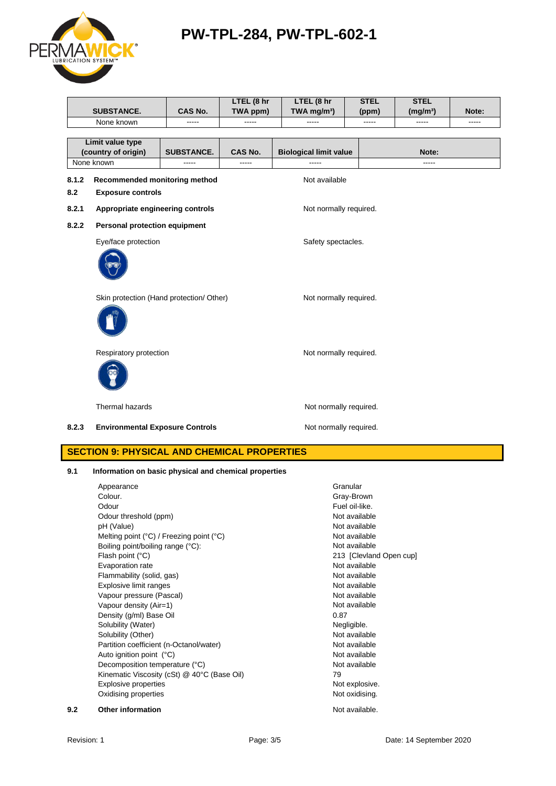

|                  | <b>SUBSTANCE.</b>                        | <b>CAS No.</b>    | LTEL (8 hr<br>TWA ppm) | LTEL (8 hr<br>TWA mg/m <sup>3</sup> ) | <b>STEL</b><br>(ppm)   | <b>STEL</b><br>(mg/m <sup>3</sup> ) | Note: |  |
|------------------|------------------------------------------|-------------------|------------------------|---------------------------------------|------------------------|-------------------------------------|-------|--|
|                  | None known                               | -----             | -----                  | -----                                 | -----                  | -----                               | ----- |  |
|                  |                                          |                   |                        |                                       |                        |                                     |       |  |
| Limit value type |                                          |                   |                        |                                       |                        |                                     |       |  |
|                  | (country of origin)                      | <b>SUBSTANCE.</b> | CAS No.                | <b>Biological limit value</b>         |                        | Note:                               |       |  |
|                  | None known                               | -----             | $\frac{1}{2}$          | -----                                 |                        | -----                               |       |  |
| 8.1.2            | Recommended monitoring method            |                   |                        |                                       | Not available          |                                     |       |  |
| 8.2              | <b>Exposure controls</b>                 |                   |                        |                                       |                        |                                     |       |  |
| 8.2.1            | Appropriate engineering controls         |                   |                        | Not normally required.                |                        |                                     |       |  |
| 8.2.2            | Personal protection equipment            |                   |                        |                                       |                        |                                     |       |  |
|                  | Eye/face protection                      |                   |                        | Safety spectacles.                    |                        |                                     |       |  |
|                  |                                          |                   |                        |                                       |                        |                                     |       |  |
|                  | Skin protection (Hand protection/ Other) |                   |                        |                                       | Not normally required. |                                     |       |  |
|                  |                                          |                   |                        |                                       |                        |                                     |       |  |
|                  | Respiratory protection                   |                   |                        | Not normally required.                |                        |                                     |       |  |
|                  |                                          |                   |                        |                                       |                        |                                     |       |  |
|                  | Thermal hazards                          |                   |                        | Not normally required.                |                        |                                     |       |  |
| 8.2.3            | <b>Environmental Exposure Controls</b>   |                   |                        | Not normally required.                |                        |                                     |       |  |

#### **SECTION 9: PHYSICAL AND CHEMICAL PROPERTIES**

#### **9.1 Information on basic physical and chemical properties**

Appearance Granular Colour.<br>Colour. Colour Colour Colour Colour Colour Colour Colour Colour Colour Colour Colour Colour. Gray-Brown Fuel oil-like. Odour threshold (ppm) Not available pH (Value) Not available Melting point (°C) / Freezing point (°C) Not available Boiling point/boiling range (°C): Not available Flash point (°C) 213 [Clevland Open cup] Evaporation rate Not available Flammability (solid, gas) Not available Explosive limit ranges Not available Vapour pressure (Pascal) Vapour pressure (Pascal) Vapour density (Air=1) Not available Density (g/ml) Base Oil 0.87 Solubility (Water) Negligible. Solubility (Other) Not available Partition coefficient (n-Octanol/water) Not available Auto ignition point (°C) and the contract of the contract of the Not available Decomposition temperature (°C) Not available Kinematic Viscosity (cSt) @ 40°C (Base Oil) 79 Explosive properties Not explosive. Oxidising properties Not oxidising.

#### **9.2 Other information 19.2 Other information**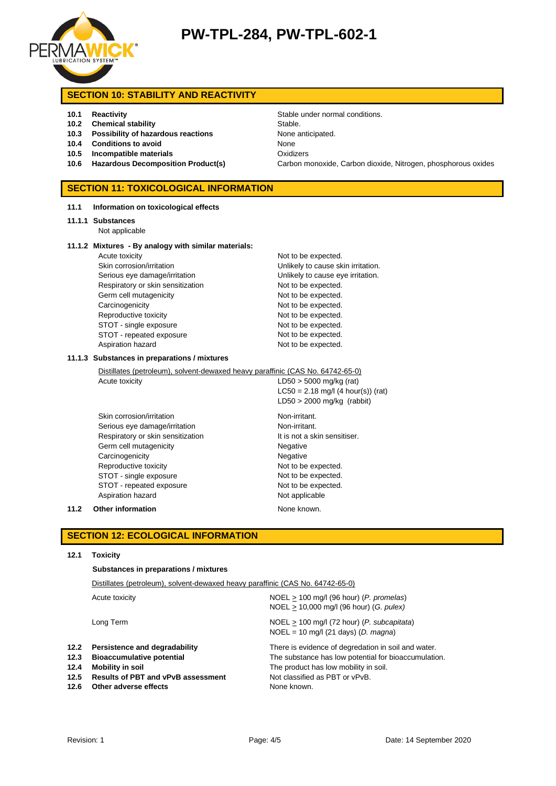

#### **SECTION 10: STABILITY AND REACTIVITY**

#### **10.1 Reactivity 10.1 Reactivity Stable under normal conditions.**

- **10.2 Chemical stability** Stable.
- **10.3 Possibility of hazardous reactions** None anticipated.
- **10.4 Conditions to avoid** None
- **10.5 Incompatible materials** Oxidizers
- **10.6 Hazardous Decomposition Product(s)** Carbon monoxide, Carbon dioxide, Nitrogen, phosphorous oxides

#### **SECTION 11: TOXICOLOGICAL INFORMATION**

#### **11.1 Information on toxicological effects**

#### **11.1.1 Substances**

Not applicable

#### **11.1.2 Mixtures - By analogy with similar materials:**

| Acute toxicity                    | Not to be expected.  |
|-----------------------------------|----------------------|
| Skin corrosion/irritation         | Unlikely to cause sk |
| Serious eye damage/irritation     | Unlikely to cause ey |
| Respiratory or skin sensitization | Not to be expected.  |
| Germ cell mutagenicity            | Not to be expected.  |
| Carcinogenicity                   | Not to be expected.  |
| Reproductive toxicity             | Not to be expected.  |
| STOT - single exposure            | Not to be expected.  |
| STOT - repeated exposure          | Not to be expected.  |
| Aspiration hazard                 | Not to be expected.  |

Not to be expected. Unlikely to cause skin irritation. Unlikely to cause eye irritation. Not to be expected. Not to be expected. Not to be expected. Not to be expected. Not to be expected. Not to be expected.

#### **11.1.3 Substances in preparations / mixtures**

Distillates (petroleum), solvent-dewaxed heavy paraffinic (CAS No. 64742-65-0)

Acute toxicity  $LD50 > 5000$  mg/kg (rat) LC50 = 2.18 mg/l (4 hour(s)) (rat) LD50 > 2000 mg/kg (rabbit)

Skin corrosion/irritation Non-irritant. Serious eye damage/irritation Non-irritant. Respiratory or skin sensitization It is not a skin sensitiser. Germ cell mutagenicity example of the Negative Carcinogenicity **Negative** Negative Reproductive toxicity Not to be expected. STOT - single exposure Not to be expected. STOT - repeated exposure Not to be expected. Aspiration hazard Not applicable

**11.2 Other information None known.** 

#### **SECTION 12: ECOLOGICAL INFORMATION**

#### **12.1 Toxicity**

**Substances in preparations / mixtures**

| Distillates (petroleum), solvent-dewaxed heavy paraffinic (CAS No. 64742-65-0)                                                                              |                                                                                                                                                                                                       |  |  |
|-------------------------------------------------------------------------------------------------------------------------------------------------------------|-------------------------------------------------------------------------------------------------------------------------------------------------------------------------------------------------------|--|--|
| Acute toxicity                                                                                                                                              | $NOEL > 100$ mg/l (96 hour) (P. promelas)<br>NOEL > 10,000 mg/l (96 hour) (G. pulex)                                                                                                                  |  |  |
| Long Term                                                                                                                                                   | $NOEL > 100$ mg/l (72 hour) (P. subcapitata)<br>$NOEL = 10$ mg/l (21 days) (D. magna)                                                                                                                 |  |  |
| Persistence and degradability<br><b>Bioaccumulative potential</b><br>Mobility in soil<br><b>Results of PBT and vPvB assessment</b><br>Other adverse effects | There is evidence of degredation in soil and water.<br>The substance has low potential for bioaccumulation.<br>The product has low mobility in soil.<br>Not classified as PBT or vPvB.<br>None known. |  |  |
|                                                                                                                                                             |                                                                                                                                                                                                       |  |  |
|                                                                                                                                                             |                                                                                                                                                                                                       |  |  |